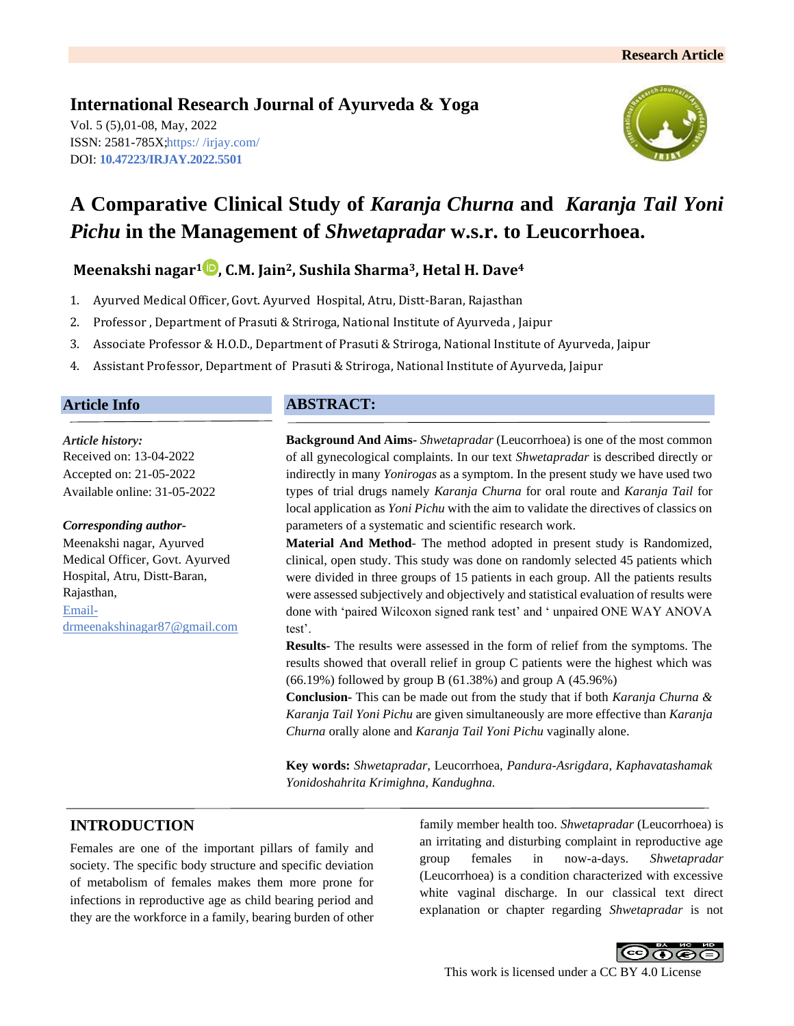# **International Research Journal of Ayurveda & Yoga**

Vol. 5 (5),01-08, May, 2022 ISSN: 2581-785X; https:/ [/irjay.com/](https://irjay.com/) DOI: **10.47223/IRJAY.2022.5501**



# **A Comparative Clinical Study of** *Karanja Churna* **and** *Karanja Tail Yoni Pichu* **in the Management of** *Shwetapradar* **w.s.r. to Leucorrhoea.**

# **Meenakshi nagar<sup>1</sup> , C.M. Jain2, Sushila Sharma3, Hetal H. Dave<sup>4</sup>**

- 1. Ayurved Medical Officer, Govt. Ayurved Hospital, Atru, Distt-Baran, Rajasthan
- 2. Professor , Department of Prasuti & Striroga, National Institute of Ayurveda , Jaipur
- 3. Associate Professor & H.O.D., Department of Prasuti & Striroga, National Institute of Ayurveda, Jaipur
- 4. Assistant Professor, Department of Prasuti & Striroga, National Institute of Ayurveda, Jaipur

# **Article Info**

*Article history:* Received on: 13-04-2022 Accepted on: 21-05-2022 Available online: 31-05-2022

#### *Corresponding author-*

Meenakshi nagar, Ayurved Medical Officer, Govt. Ayurved Hospital, Atru, Distt-Baran, Rajasthan, Emaildrmeenakshinagar87@gmail.com

# **ABSTRACT:**

**Background And Aims-** *Shwetapradar* (Leucorrhoea) is one of the most common of all gynecological complaints. In our text *Shwetapradar* is described directly or indirectly in many *Yonirogas* as a symptom. In the present study we have used two types of trial drugs namely *Karanja Churna* for oral route and *Karanja Tail* for local application as *Yoni Pichu* with the aim to validate the directives of classics on parameters of a systematic and scientific research work.

**Material And Method**- The method adopted in present study is Randomized, clinical, open study. This study was done on randomly selected 45 patients which were divided in three groups of 15 patients in each group. All the patients results were assessed subjectively and objectively and statistical evaluation of results were done with 'paired Wilcoxon signed rank test' and ' unpaired ONE WAY ANOVA test'.

**Results**- The results were assessed in the form of relief from the symptoms. The results showed that overall relief in group C patients were the highest which was (66.19%) followed by group B (61.38%) and group A (45.96%)

**Conclusion-** This can be made out from the study that if both *Karanja Churna & Karanja Tail Yoni Pichu* are given simultaneously are more effective than *Karanja Churna* orally alone and *Karanja Tail Yoni Pichu* vaginally alone.

**Key words:** *Shwetapradar,* Leucorrhoea, *Pandura*-*Asrigdara, Kaphavatashamak Yonidoshahrita Krimighna, Kandughna.*

# **INTRODUCTION**

Females are one of the important pillars of family and society. The specific body structure and specific deviation of metabolism of females makes them more prone for infections in reproductive age as child bearing period and they are the workforce in a family, bearing burden of other family member health too. *Shwetapradar* (Leucorrhoea) is an irritating and disturbing complaint in reproductive age group females in now-a-days. *Shwetapradar*  (Leucorrhoea) is a condition characterized with excessive white vaginal discharge. In our classical text direct explanation or chapter regarding *Shwetapradar* is not

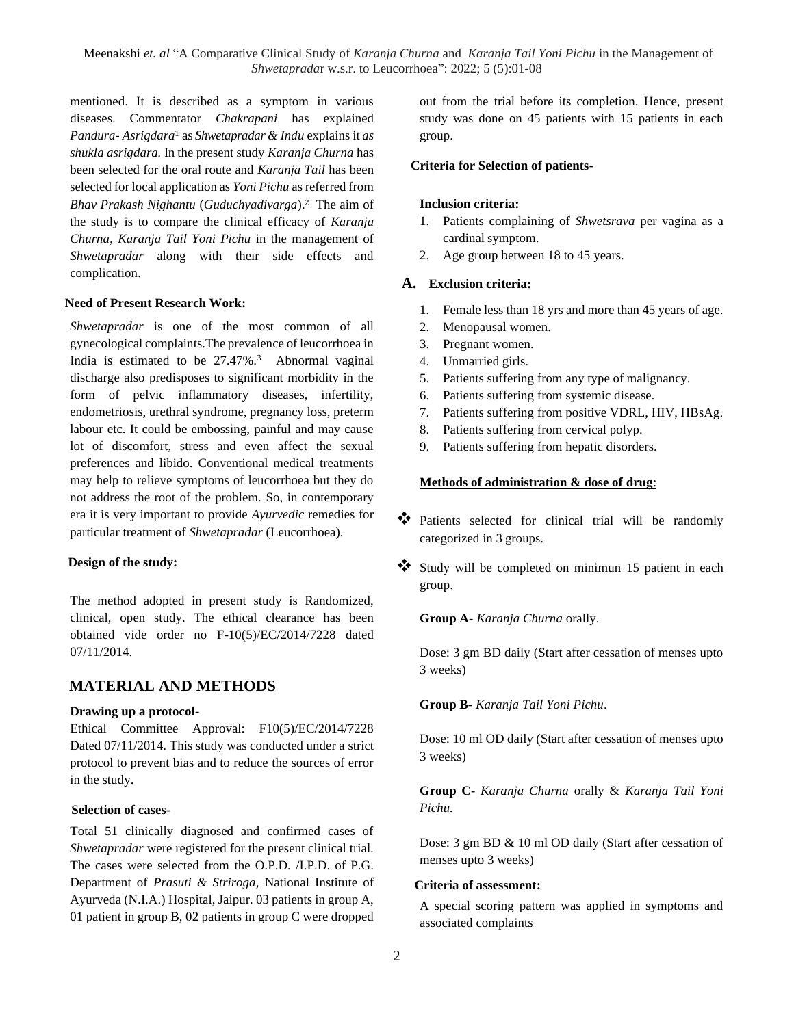mentioned. It is described as a symptom in various diseases. Commentator *Chakrapani* has explained *Pandura*- *Asrigdara*<sup>1</sup> as *Shwetapradar & Indu* explains it *as shukla asrigdara.* In the present study *Karanja Churna* has been selected for the oral route and *Karanja Tail* has been selected for local application as *Yoni Pichu* as referred from *Bhav Prakash Nighantu* (*Guduchyadivarga*).<sup>2</sup> The aim of the study is to compare the clinical efficacy of *Karanja Churna*, *Karanja Tail Yoni Pichu* in the management of *Shwetapradar* along with their side effects and complication.

#### **Need of Present Research Work:**

*Shwetapradar* is one of the most common of all gynecological complaints.The prevalence of leucorrhoea in India is estimated to be  $27.47\%$ .<sup>3</sup> Abnormal vaginal discharge also predisposes to significant morbidity in the form of pelvic inflammatory diseases, infertility, endometriosis, urethral syndrome, pregnancy loss, preterm labour etc. It could be embossing, painful and may cause lot of discomfort, stress and even affect the sexual preferences and libido. Conventional medical treatments may help to relieve symptoms of leucorrhoea but they do not address the root of the problem. So, in contemporary era it is very important to provide *Ayurvedic* remedies for particular treatment of *Shwetapradar* (Leucorrhoea).

#### **Design of the study:**

The method adopted in present study is Randomized, clinical, open study. The ethical clearance has been obtained vide order no F-10(5)/EC/2014/7228 dated 07/11/2014.

## **MATERIAL AND METHODS**

#### **Drawing up a protocol-**

Ethical Committee Approval: F10(5)/EC/2014/7228 Dated 07/11/2014. This study was conducted under a strict protocol to prevent bias and to reduce the sources of error in the study.

#### **Selection of cases-**

Total 51 clinically diagnosed and confirmed cases of *Shwetapradar* were registered for the present clinical trial. The cases were selected from the O.P.D. /I.P.D. of P.G. Department of *Prasuti & Striroga*, National Institute of Ayurveda (N.I.A.) Hospital, Jaipur. 03 patients in group A, 01 patient in group B, 02 patients in group C were dropped out from the trial before its completion. Hence, present study was done on 45 patients with 15 patients in each group.

#### **Criteria for Selection of patients-**

#### **Inclusion criteria:**

- 1. Patients complaining of *Shwetsrava* per vagina as a cardinal symptom.
- 2. Age group between 18 to 45 years.

#### **A. Exclusion criteria:**

- 1. Female less than 18 yrs and more than 45 years of age.
- 2. Menopausal women.
- 3. Pregnant women.
- 4. Unmarried girls.
- 5. Patients suffering from any type of malignancy.
- 6. Patients suffering from systemic disease.
- 7. Patients suffering from positive VDRL, HIV, HBsAg.
- 8. Patients suffering from cervical polyp.
- 9. Patients suffering from hepatic disorders.

#### **Methods of administration & dose of drug**:

- ❖ Patients selected for clinical trial will be randomly categorized in 3 groups.
- ❖ Study will be completed on minimun 15 patient in each group.

**Group A**- *Karanja Churna* orally.

Dose: 3 gm BD daily (Start after cessation of menses upto 3 weeks)

**Group B**- *Karanja Tail Yoni Pichu*.

Dose: 10 ml OD daily (Start after cessation of menses upto 3 weeks)

**Group C-** *Karanja Churna* orally & *Karanja Tail Yoni Pichu.*

Dose: 3 gm BD & 10 ml OD daily (Start after cessation of menses upto 3 weeks)

#### **Criteria of assessment:**

A special scoring pattern was applied in symptoms and associated complaints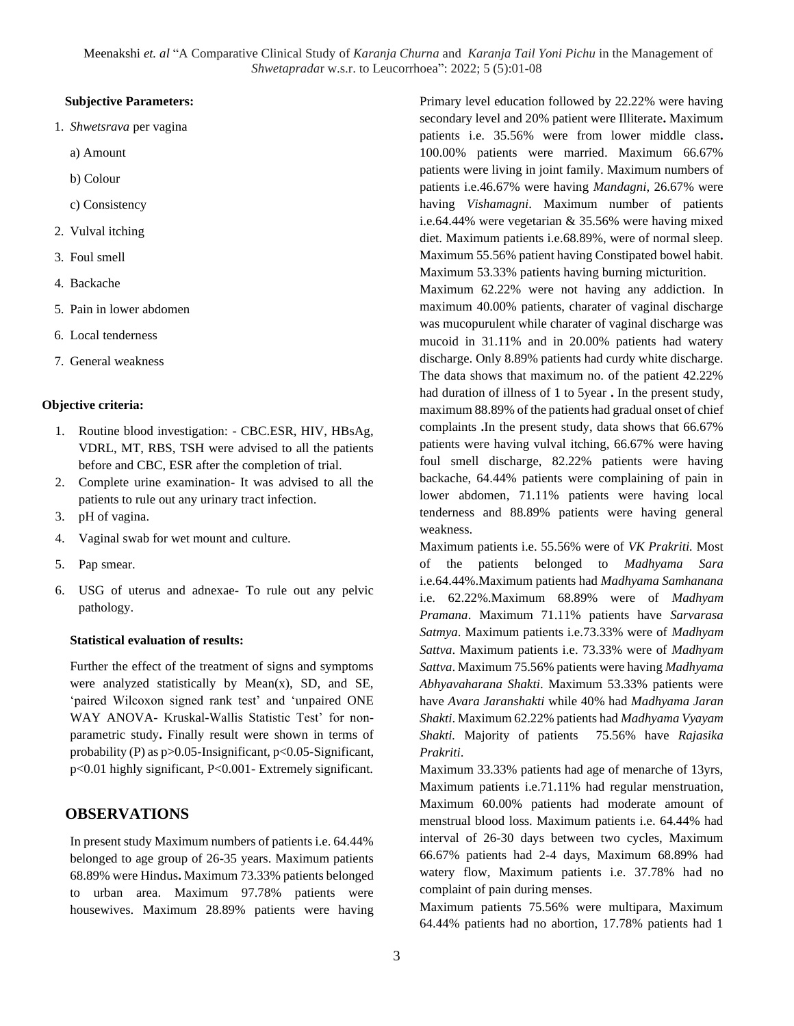#### **Subjective Parameters:**

- 1. *Shwetsrava* per vagina
	- a) Amount
	- b) Colour
	- c) Consistency
- 2. Vulval itching
- 3. Foul smell
- 4. Backache
- 5. Pain in lower abdomen
- 6. Local tenderness
- 7. General weakness

#### **Objective criteria:**

- 1. Routine blood investigation: CBC.ESR, HIV, HBsAg, VDRL, MT, RBS, TSH were advised to all the patients before and CBC, ESR after the completion of trial.
- 2. Complete urine examination- It was advised to all the patients to rule out any urinary tract infection.
- 3. pH of vagina.
- 4. Vaginal swab for wet mount and culture.
- 5. Pap smear.
- 6. USG of uterus and adnexae- To rule out any pelvic pathology.

#### **Statistical evaluation of results:**

Further the effect of the treatment of signs and symptoms were analyzed statistically by Mean $(x)$ , SD, and SE, 'paired Wilcoxon signed rank test' and 'unpaired ONE WAY ANOVA- Kruskal-Wallis Statistic Test' for nonparametric study**.** Finally result were shown in terms of probability (P) as p>0.05-Insignificant, p<0.05-Significant, p<0.01 highly significant, P<0.001- Extremely significant.

## **OBSERVATIONS**

In present study Maximum numbers of patients i.e. 64.44% belonged to age group of 26-35 years. Maximum patients 68.89% were Hindus**.** Maximum 73.33% patients belonged to urban area. Maximum 97.78% patients were housewives. Maximum 28.89% patients were having Primary level education followed by 22.22% were having secondary level and 20% patient were Illiterate**.** Maximum patients i.e. 35.56% were from lower middle class**.**  100.00% patients were married. Maximum 66.67% patients were living in joint family. Maximum numbers of patients i.e.46.67% were having *Mandagni*, 26.67% were having *Vishamagni*. Maximum number of patients i.e.64.44% were vegetarian & 35.56% were having mixed diet. Maximum patients i.e.68.89%, were of normal sleep. Maximum 55.56% patient having Constipated bowel habit. Maximum 53.33% patients having burning micturition.

Maximum 62.22% were not having any addiction. In maximum 40.00% patients, charater of vaginal discharge was mucopurulent while charater of vaginal discharge was mucoid in 31.11% and in 20.00% patients had watery discharge. Only 8.89% patients had curdy white discharge. The data shows that maximum no. of the patient 42.22% had duration of illness of 1 to 5year **.** In the present study, maximum 88.89% of the patients had gradual onset of chief complaints **.**In the present study, data shows that 66.67% patients were having vulval itching, 66.67% were having foul smell discharge, 82.22% patients were having backache, 64.44% patients were complaining of pain in lower abdomen, 71.11% patients were having local tenderness and 88.89% patients were having general weakness.

Maximum patients i.e. 55.56% were of *VK Prakriti.* Most of the patients belonged to *Madhyama Sara*  i.e.64.44%.Maximum patients had *Madhyama Samhanana*  i.e. 62.22%.Maximum 68.89% were of *Madhyam Pramana*. Maximum 71.11% patients have *Sarvarasa Satmya*. Maximum patients i.e.73.33% were of *Madhyam Sattva*. Maximum patients i.e. 73.33% were of *Madhyam Sattva*. Maximum 75.56% patients were having *Madhyama Abhyavaharana Shakti*. Maximum 53.33% patients were have *Avara Jaranshakti* while 40% had *Madhyama Jaran Shakti*. Maximum 62.22% patients had *Madhyama Vyayam Shakti.* Majority of patients 75.56% have *Rajasika Prakriti*.

Maximum 33.33% patients had age of menarche of 13yrs, Maximum patients i.e.71.11% had regular menstruation, Maximum 60.00% patients had moderate amount of menstrual blood loss. Maximum patients i.e. 64.44% had interval of 26-30 days between two cycles, Maximum 66.67% patients had 2-4 days, Maximum 68.89% had watery flow, Maximum patients i.e. 37.78% had no complaint of pain during menses.

Maximum patients 75.56% were multipara, Maximum 64.44% patients had no abortion, 17.78% patients had 1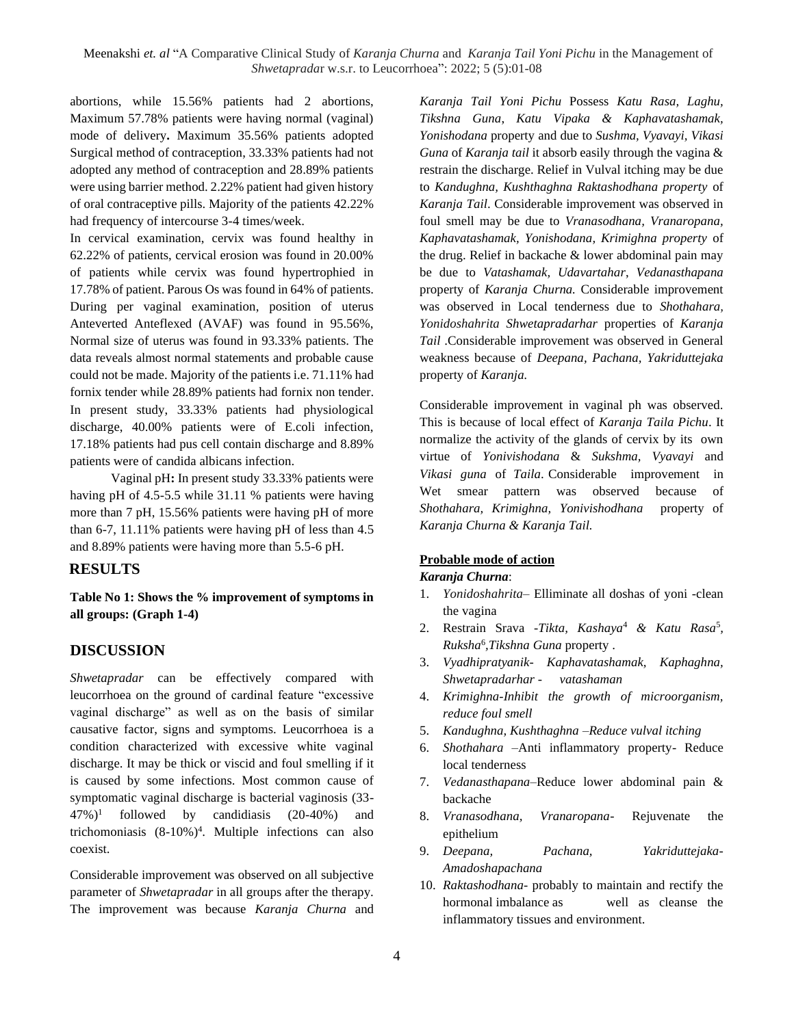abortions, while 15.56% patients had 2 abortions, Maximum 57.78% patients were having normal (vaginal) mode of delivery**.** Maximum 35.56% patients adopted Surgical method of contraception, 33.33% patients had not adopted any method of contraception and 28.89% patients were using barrier method. 2.22% patient had given history of oral contraceptive pills. Majority of the patients 42.22% had frequency of intercourse 3-4 times/week.

In cervical examination, cervix was found healthy in 62.22% of patients, cervical erosion was found in 20.00% of patients while cervix was found hypertrophied in 17.78% of patient. Parous Os was found in 64% of patients. During per vaginal examination, position of uterus Anteverted Anteflexed (AVAF) was found in 95.56%, Normal size of uterus was found in 93.33% patients. The data reveals almost normal statements and probable cause could not be made. Majority of the patients i.e. 71.11% had fornix tender while 28.89% patients had fornix non tender. In present study, 33.33% patients had physiological discharge, 40.00% patients were of E.coli infection, 17.18% patients had pus cell contain discharge and 8.89% patients were of candida albicans infection.

Vaginal pH**:** In present study 33.33% patients were having pH of 4.5-5.5 while 31.11 % patients were having more than 7 pH, 15.56% patients were having pH of more than 6-7, 11.11% patients were having pH of less than 4.5 and 8.89% patients were having more than 5.5-6 pH.

## **RESULTS**

**Table No 1: Shows the % improvement of symptoms in all groups: (Graph 1-4)**

## **DISCUSSION**

*Shwetapradar* can be effectively compared with leucorrhoea on the ground of cardinal feature "excessive vaginal discharge" as well as on the basis of similar causative factor, signs and symptoms. Leucorrhoea is a condition characterized with excessive white vaginal discharge. It may be thick or viscid and foul smelling if it is caused by some infections. Most common cause of symptomatic vaginal discharge is bacterial vaginosis (33-  $47\%)^1$ followed by candidiasis (20-40%) and trichomoniasis (8-10%)<sup>4</sup> . Multiple infections can also coexist.

Considerable improvement was observed on all subjective parameter of *Shwetapradar* in all groups after the therapy. The improvement was because *Karanja Churna* and *Karanja Tail Yoni Pichu* Possess *Katu Rasa, Laghu, Tikshna Guna*, *Katu Vipaka & Kaphavatashamak, Yonishodana* property and due to *Sushma, Vyavayi, Vikasi Guna* of *Karanja tail* it absorb easily through the vagina & restrain the discharge. Relief in Vulval itching may be due to *Kandughna, Kushthaghna Raktashodhana property* of *Karanja Tail*. Considerable improvement was observed in foul smell may be due to *Vranasodhana, Vranaropana, Kaphavatashamak, Yonishodana, Krimighna property* of the drug. Relief in backache & lower abdominal pain may be due to *Vatashamak, Udavartahar*, *Vedanasthapana*  property of *Karanja Churna.* Considerable improvement was observed in Local tenderness due to *Shothahara, Yonidoshahrita Shwetapradarhar* properties of *Karanja Tail* .Considerable improvement was observed in General weakness because of *Deepana, Pachana, Yakriduttejaka*  property of *Karanja.*

Considerable improvement in vaginal ph was observed. This is because of local effect of *Karanja Taila Pichu*. It normalize the activity of the glands of cervix by its own virtue of *Yonivishodana* & *Sukshma, Vyavayi* and *Vikasi guna* of *Taila*. Considerable improvement in Wet smear pattern was observed because of *Shothahara, Krimighna, Yonivishodhana* property of *Karanja Churna & Karanja Tail.*

# **Probable mode of action**

### *Karanja Churna*:

- 1. *Yonidoshahrita* Elliminate all doshas of yoni -clean the vagina
- 2. Restrain Srava -*Tikta, Kashaya*<sup>4</sup> *& Katu Rasa*<sup>5</sup> *, Ruksha*<sup>6</sup> *,Tikshna Guna* property .
- 3. *Vyadhipratyanik- Kaphavatashamak, Kaphaghna, Shwetapradarhar - vatashaman*
- 4. *Krimighna-Inhibit the growth of microorganism, reduce foul smell*
- 5. *Kandughna, Kushthaghna –Reduce vulval itching*
- 6. *Shothahara –*Anti inflammatory property- Reduce local tenderness
- 7. *Vedanasthapana*–Reduce lower abdominal pain & backache
- 8. *Vranasodhana, Vranaropana* Rejuvenate the epithelium
- 9. *Deepana, Pachana, Yakriduttejaka-Amadoshapachana*
- 10. *Raktashodhana* probably to maintain and rectify the hormonal imbalance as well as cleanse the inflammatory tissues and environment.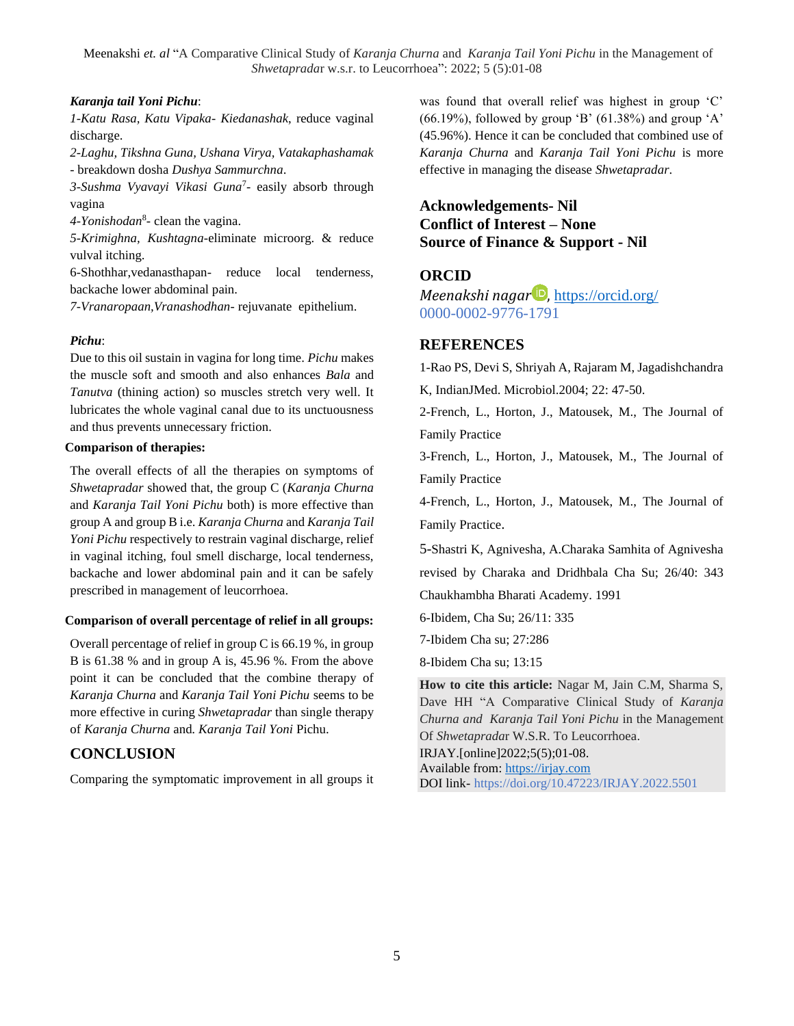#### *Karanja tail Yoni Pichu*:

*1-Katu Rasa, Katu Vipaka- Kiedanashak*, reduce vaginal discharge.

*2-Laghu, Tikshna Guna, Ushana Virya, Vatakaphashamak* - breakdown dosha *Dushya Sammurchna*.

*3-Sushma Vyavayi Vikasi Guna*<sup>7</sup> - easily absorb through vagina

*4-Yonishodan*<sup>8</sup> - clean the vagina.

*5-Krimighna, Kushtagna*-eliminate microorg. & reduce vulval itching.

6-Shothhar,vedanasthapan- reduce local tenderness, backache lower abdominal pain.

*7-Vranaropaan,Vranashodhan*- rejuvanate epithelium.

### *Pichu*:

Due to this oil sustain in vagina for long time. *Pichu* makes the muscle soft and smooth and also enhances *Bala* and *Tanutva* (thining action) so muscles stretch very well. It lubricates the whole vaginal canal due to its unctuousness and thus prevents unnecessary friction.

### **Comparison of therapies:**

The overall effects of all the therapies on symptoms of *Shwetapradar* showed that, the group C (*Karanja Churna*  and *Karanja Tail Yoni Pichu* both) is more effective than group A and group B i.e. *Karanja Churna* and *Karanja Tail Yoni Pichu* respectively to restrain vaginal discharge, relief in vaginal itching, foul smell discharge, local tenderness, backache and lower abdominal pain and it can be safely prescribed in management of leucorrhoea.

#### **Comparison of overall percentage of relief in all groups:**

Overall percentage of relief in group C is 66.19 %, in group B is 61.38 % and in group A is, 45.96 %. From the above point it can be concluded that the combine therapy of *Karanja Churna* and *Karanja Tail Yoni Pichu* seems to be more effective in curing *Shwetapradar* than single therapy of *Karanja Churna* and*. Karanja Tail Yoni* Pichu.

# **CONCLUSION**

Comparing the symptomatic improvement in all groups it

was found that overall relief was highest in group 'C'  $(66.19\%)$ , followed by group 'B'  $(61.38\%)$  and group 'A' (45.96%). Hence it can be concluded that combined use of *Karanja Churna* and *Karanja Tail Yoni Pichu* is more effective in managing the disease *Shwetapradar*.

# **Acknowledgements- Nil Conflict of Interest – None Source of Finance & Support - Nil**

# **ORCID**

*Meenakshi nagar D*, <https://orcid.org/> 0000-0002-9776-1791

## **REFERENCES**

1-Rao PS, Devi S, Shriyah A, Rajaram M, Jagadishchandra

K, IndianJMed. Microbiol.2004; 22: 47-50.

2-French, L., Horton, J., Matousek, M., The Journal of Family Practice

3-French, L., Horton, J., Matousek, M., The Journal of Family Practice

4-French, L., Horton, J., Matousek, M., The Journal of Family Practice.

5-Shastri K, Agnivesha, A.Charaka Samhita of Agnivesha revised by Charaka and Dridhbala Cha Su; 26/40: 343 Chaukhambha Bharati Academy. 1991

6-Ibidem, Cha Su; 26/11: 335

7-Ibidem Cha su; 27:286

8-Ibidem Cha su; 13:15

**How to cite this article:** Nagar M, Jain C.M, Sharma S, Dave HH "A Comparative Clinical Study of *Karanja Churna and Karanja Tail Yoni Pichu* in the Management Of *Shwetaprada*r W.S.R. To Leucorrhoea.

IRJAY.[online]2022;5(5);01-08. Available from: [https://irjay.com](https://irjay.com/)

DOI link- https://doi.org/10.47223/IRJAY.2022.5501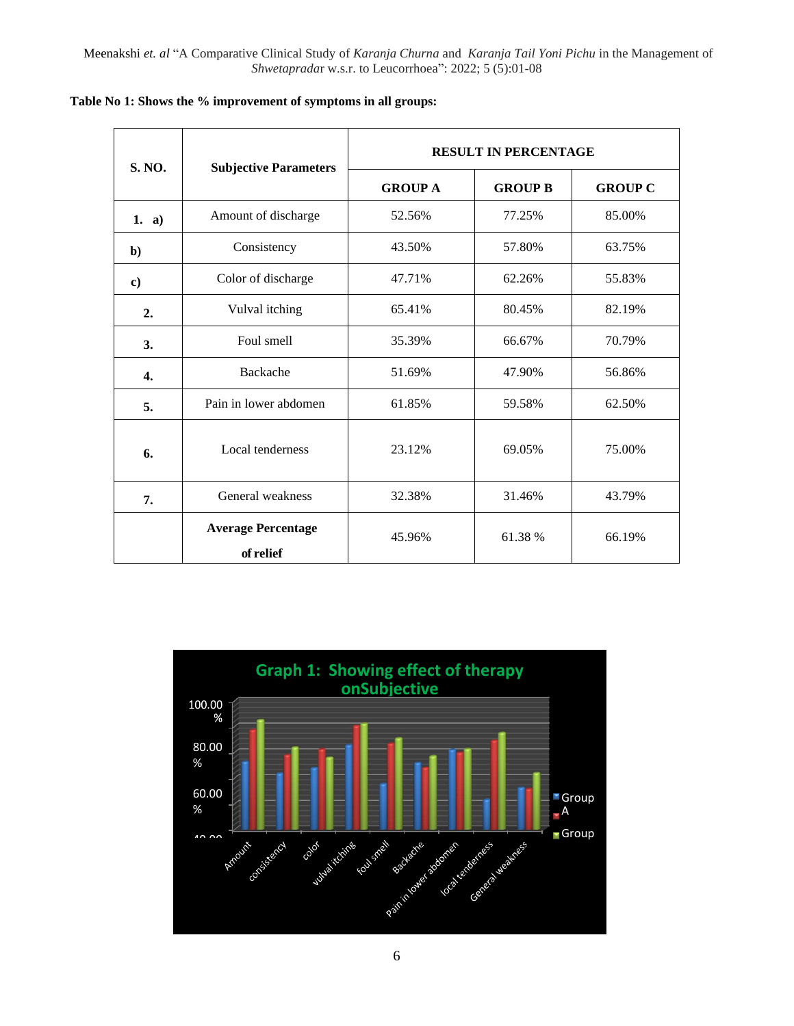| <b>S. NO.</b>    | <b>Subjective Parameters</b>           | <b>RESULT IN PERCENTAGE</b> |                |                |
|------------------|----------------------------------------|-----------------------------|----------------|----------------|
|                  |                                        | <b>GROUP A</b>              | <b>GROUP B</b> | <b>GROUP C</b> |
| 1. a)            | Amount of discharge                    | 52.56%                      | 77.25%         | 85.00%         |
| $\mathbf{b}$     | Consistency                            | 43.50%                      | 57.80%         | 63.75%         |
| $\bf c)$         | Color of discharge                     | 47.71%                      | 62.26%         | 55.83%         |
| 2.               | Vulval itching                         | 65.41%                      | 80.45%         | 82.19%         |
| 3.               | Foul smell                             | 35.39%                      | 66.67%         | 70.79%         |
| $\overline{4}$ . | Backache                               | 51.69%                      | 47.90%         | 56.86%         |
| 5.               | Pain in lower abdomen                  | 61.85%                      | 59.58%         | 62.50%         |
| 6.               | Local tenderness                       | 23.12%                      | 69.05%         | 75.00%         |
| 7.               | General weakness                       | 32.38%                      | 31.46%         | 43.79%         |
|                  | <b>Average Percentage</b><br>of relief | 45.96%                      | 61.38 %        | 66.19%         |

**Table No 1: Shows the % improvement of symptoms in all groups:**

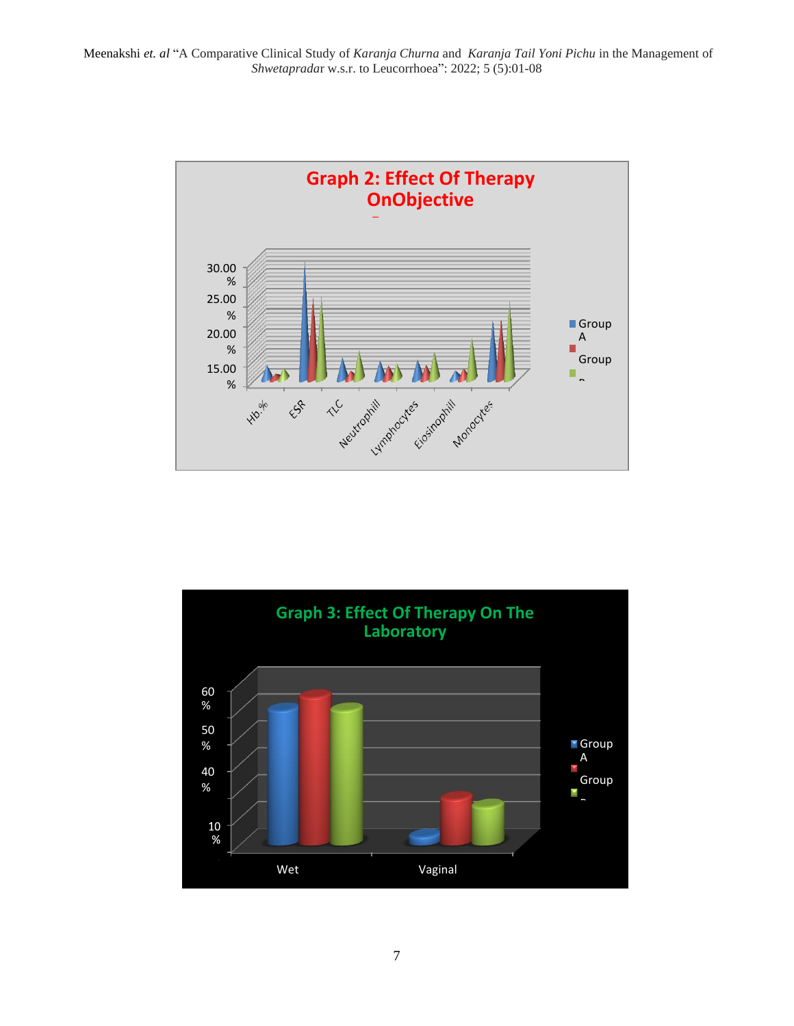